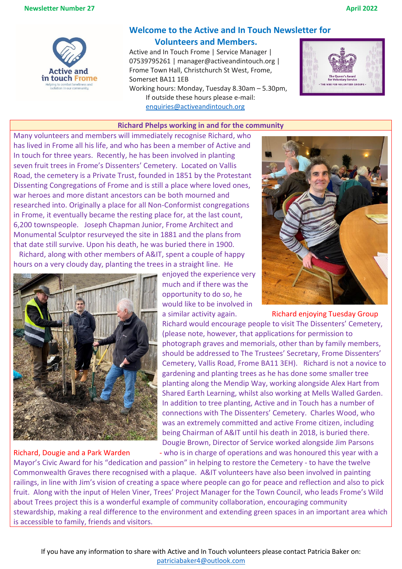

## **Welcome to the Active and In Touch Newsletter for**

### **Volunteers and Members.**

Active and In Touch Frome | Service Manager | 07539795261 | manager@activeandintouch.org | Frome Town Hall, Christchurch St West, Frome, Somerset BA11 1EB Working hours: Monday, Tuesday 8.30am – 5.30pm,

If outside these hours please e-mail: [enquiries@activeandintouch.org](mailto:enquiries@activeandintouch.org)

# **Richard Phelps working in and for the community**

Many volunteers and members will immediately recognise Richard, who has lived in Frome all his life, and who has been a member of Active and In touch for three years. Recently, he has been involved in planting seven fruit trees in Frome's Dissenters' Cemetery. Located on Vallis Road, the cemetery is a Private Trust, founded in 1851 by the Protestant Dissenting Congregations of Frome and is still a place where loved ones, war heroes and more distant ancestors can be both mourned and researched into. Originally a place for all Non-Conformist congregations in Frome, it eventually became the resting place for, at the last count, 6,200 townspeople. Joseph Chapman Junior, Frome Architect and Monumental Sculptor resurveyed the site in 1881 and the plans from that date still survive. Upon his death, he was buried there in 1900.

 Richard, along with other members of A&IT, spent a couple of happy hours on a very cloudy day, planting the trees in a straight line. He



enjoyed the experience very much and if there was the opportunity to do so, he would like to be involved in



a similar activity again. Richard enjoying Tuesday Group

Richard would encourage people to visit The Dissenters' Cemetery, (please note, however, that applications for permission to photograph graves and memorials, other than by family members, should be addressed to The Trustees' Secretary, Frome Dissenters' Cemetery, Vallis Road, Frome BA11 3EH). Richard is not a novice to gardening and planting trees as he has done some smaller tree planting along the Mendip Way, working alongside Alex Hart from Shared Earth Learning, whilst also working at Mells Walled Garden. In addition to tree planting, Active and in Touch has a number of connections with The Dissenters' Cemetery. Charles Wood, who was an extremely committed and active Frome citizen, including being Chairman of A&IT until his death in 2018, is buried there. Dougie Brown, Director of Service worked alongside Jim Parsons Richard, Dougie and a Park Warden - who is in charge of operations and was honoured this year with a

Mayor's Civic Award for his "dedication and passion" in helping to restore the Cemetery - to have the twelve Commonwealth Graves there recognised with a plaque. A&IT volunteers have also been involved in painting railings, in line with Jim's vision of creating a space where people can go for peace and reflection and also to pick fruit. Along with the input of Helen Viner, Trees' Project Manager for the Town Council, who leads Frome's Wild about Trees project this is a wonderful example of community collaboration, encouraging community stewardship, making a real difference to the environment and extending green spaces in an important area which is accessible to family, friends and visitors.

If you have any information to share with Active and In Touch volunteers please contact Patricia Baker on: [patriciabaker4@outlook.com](mailto:patriciabaker4@outlook.com)

**ABE FOR VOLUNTEER GROUPS**